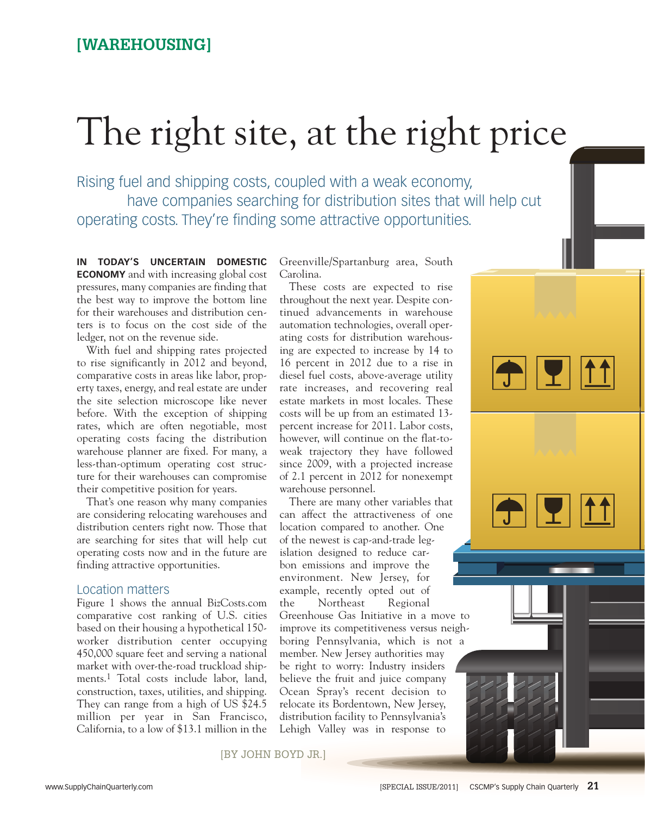# The right site, at the right price

Rising fuel and shipping costs, coupled with a weak economy, have companies searching for distribution sites that will help cut operating costs. They're finding some attractive opportunities.

**IN TODAY'S UNCERTAIN DOMESTIC ECONOMY** and with increasing global cost pressures, many companies are finding that the best way to improve the bottom line for their warehouses and distribution centers is to focus on the cost side of the ledger, not on the revenue side.

With fuel and shipping rates projected to rise significantly in 2012 and beyond, comparative costs in areas like labor, property taxes, energy, and real estate are under the site selection microscope like never before. With the exception of shipping rates, which are often negotiable, most operating costs facing the distribution warehouse planner are fixed. For many, a less-than-optimum operating cost structure for their warehouses can compromise their competitive position for years.

That's one reason why many companies are considering relocating warehouses and distribution centers right now. Those that are searching for sites that will help cut operating costs now and in the future are finding attractive opportunities.

### Location matters

Figure 1 shows the annual BizCosts.com comparative cost ranking of U.S. cities based on their housing a hypothetical 150 worker distribution center occupying 450,000 square feet and serving a national market with over-the-road truckload shipments.1 Total costs include labor, land, construction, taxes, utilities, and shipping. They can range from a high of US \$24.5 million per year in San Francisco, California, to a low of \$13.1 million in the Greenville/Spartanburg area, South Carolina.

These costs are expected to rise throughout the next year. Despite continued advancements in warehouse automation technologies, overall operating costs for distribution warehousing are expected to increase by 14 to 16 percent in 2012 due to a rise in diesel fuel costs, above-average utility rate increases, and recovering real estate markets in most locales. These costs will be up from an estimated 13 percent increase for 2011. Labor costs, however, will continue on the flat-toweak trajectory they have followed since 2009, with a projected increase of 2.1 percent in 2012 for nonexempt warehouse personnel.

There are many other variables that can affect the attractiveness of one location compared to another. One of the newest is cap-and-trade legislation designed to reduce carbon emissions and improve the environment. New Jersey, for example, recently opted out of the Northeast Regional Greenhouse Gas Initiative in a move to improve its competitiveness versus neighboring Pennsylvania, which is not a member. New Jersey authorities may be right to worry: Industry insiders believe the fruit and juice company Ocean Spray's recent decision to relocate its Bordentown, New Jersey, distribution facility to Pennsylvania's Lehigh Valley was in response to

[BY JOHN BOYD JR.]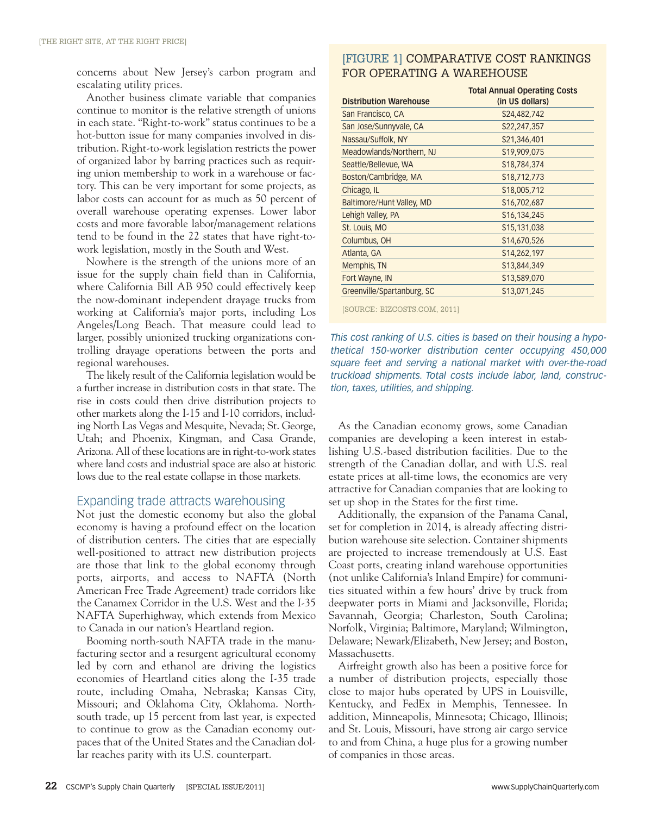concerns about New Jersey's carbon program and escalating utility prices.

Another business climate variable that companies continue to monitor is the relative strength of unions in each state. "Right-to-work" status continues to be a hot-button issue for many companies involved in distribution. Right-to-work legislation restricts the power of organized labor by barring practices such as requiring union membership to work in a warehouse or factory. This can be very important for some projects, as labor costs can account for as much as 50 percent of overall warehouse operating expenses. Lower labor costs and more favorable labor/management relations tend to be found in the 22 states that have right-towork legislation, mostly in the South and West.

Nowhere is the strength of the unions more of an issue for the supply chain field than in California, where California Bill AB 950 could effectively keep the now-dominant independent drayage trucks from working at California's major ports, including Los Angeles/Long Beach. That measure could lead to larger, possibly unionized trucking organizations controlling drayage operations between the ports and regional warehouses.

The likely result of the California legislation would be a further increase in distribution costs in that state. The rise in costs could then drive distribution projects to other markets along the I-15 and I-10 corridors, including North Las Vegas and Mesquite, Nevada; St. George, Utah; and Phoenix, Kingman, and Casa Grande, Arizona. All of these locations are in right-to-work states where land costs and industrial space are also at historic lows due to the real estate collapse in those markets.

## Expanding trade attracts warehousing

Not just the domestic economy but also the global economy is having a profound effect on the location of distribution centers. The cities that are especially well-positioned to attract new distribution projects are those that link to the global economy through ports, airports, and access to NAFTA (North American Free Trade Agreement) trade corridors like the Canamex Corridor in the U.S. West and the I-35 NAFTA Superhighway, which extends from Mexico to Canada in our nation's Heartland region.

Booming north-south NAFTA trade in the manufacturing sector and a resurgent agricultural economy led by corn and ethanol are driving the logistics economies of Heartland cities along the I-35 trade route, including Omaha, Nebraska; Kansas City, Missouri; and Oklahoma City, Oklahoma. Northsouth trade, up 15 percent from last year, is expected to continue to grow as the Canadian economy outpaces that of the United States and the Canadian dollar reaches parity with its U.S. counterpart.

## [FIGURE 1] COMPARATIVE COST RANKINGS FOR OPERATING A WAREHOUSE

| <b>Distribution Warehouse</b> | <b>Total Annual Operating Costs</b><br>(in US dollars) |
|-------------------------------|--------------------------------------------------------|
|                               |                                                        |
| San Francisco, CA             | \$24,482,742                                           |
| San Jose/Sunnyvale, CA        | \$22,247,357                                           |
| Nassau/Suffolk, NY            | \$21,346,401                                           |
| Meadowlands/Northern, NJ      | \$19,909,075                                           |
| Seattle/Bellevue, WA          | \$18,784,374                                           |
| Boston/Cambridge, MA          | \$18,712,773                                           |
| Chicago, IL                   | \$18,005,712                                           |
| Baltimore/Hunt Valley, MD     | \$16,702,687                                           |
| Lehigh Valley, PA             | \$16,134,245                                           |
| St. Louis, MO                 | \$15,131,038                                           |
| Columbus, OH                  | \$14,670,526                                           |
| Atlanta, GA                   | \$14,262,197                                           |
| Memphis, TN                   | \$13,844,349                                           |
| Fort Wayne, IN                | \$13,589,070                                           |
| Greenville/Spartanburg, SC    | \$13,071,245                                           |
|                               |                                                        |

[SOURCE: BIZCOSTS.COM, 2011]

*This cost ranking of U.S. cities is based on their housing a hypothetical 150-worker distribution center occupying 450,000 square feet and serving a national market with over-the-road truckload shipments. Total costs include labor, land, construction, taxes, utilities, and shipping.*

As the Canadian economy grows, some Canadian companies are developing a keen interest in establishing U.S.-based distribution facilities. Due to the strength of the Canadian dollar, and with U.S. real estate prices at all-time lows, the economics are very attractive for Canadian companies that are looking to set up shop in the States for the first time.

Additionally, the expansion of the Panama Canal, set for completion in 2014, is already affecting distribution warehouse site selection. Container shipments are projected to increase tremendously at U.S. East Coast ports, creating inland warehouse opportunities (not unlike California's Inland Empire) for communities situated within a few hours' drive by truck from deepwater ports in Miami and Jacksonville, Florida; Savannah, Georgia; Charleston, South Carolina; Norfolk, Virginia; Baltimore, Maryland; Wilmington, Delaware; Newark/Elizabeth, New Jersey; and Boston, Massachusetts.

Airfreight growth also has been a positive force for a number of distribution projects, especially those close to major hubs operated by UPS in Louisville, Kentucky, and FedEx in Memphis, Tennessee. In addition, Minneapolis, Minnesota; Chicago, Illinois; and St. Louis, Missouri, have strong air cargo service to and from China, a huge plus for a growing number of companies in those areas.